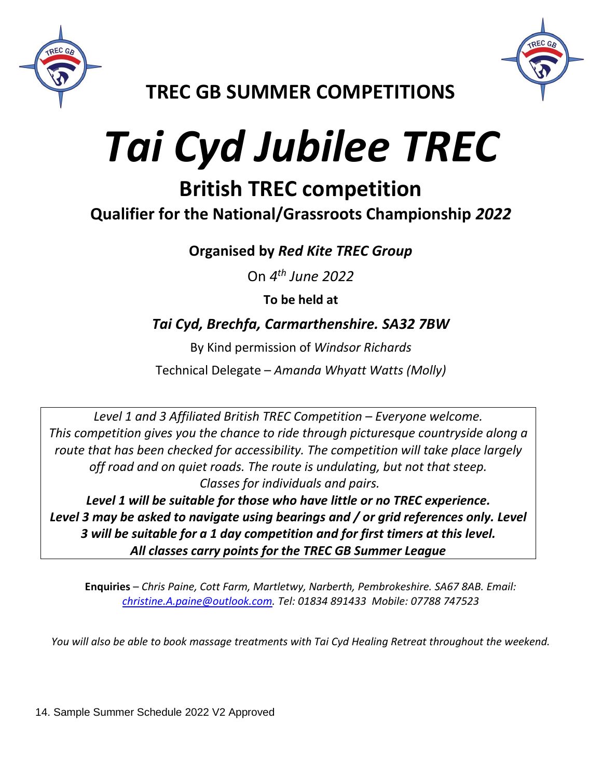



**TREC GB SUMMER COMPETITIONS**

# *Tai Cyd Jubilee TREC*

## **British TREC competition**

**Qualifier for the National/Grassroots Championship** *2022*

**Organised by** *Red Kite TREC Group*

On *4 th June 2022*

**To be held at**

### *Tai Cyd, Brechfa, Carmarthenshire. SA32 7BW*

By Kind permission of *Windsor Richards*

Technical Delegate – *Amanda Whyatt Watts (Molly)*

*Level 1 and 3 Affiliated British TREC Competition – Everyone welcome. This competition gives you the chance to ride through picturesque countryside along a route that has been checked for accessibility. The competition will take place largely off road and on quiet roads. The route is undulating, but not that steep. Classes for individuals and pairs.* 

*Level 1 will be suitable for those who have little or no TREC experience. Level 3 may be asked to navigate using bearings and / or grid references only. Level 3 will be suitable for a 1 day competition and for first timers at this level. All classes carry points for the TREC GB Summer League*

**Enquiries** – *Chris Paine, Cott Farm, Martletwy, Narberth, Pembrokeshire. SA67 8AB. Email: [christine.A.paine@outlook.com.](mailto:christine.A.paine@outlook.com) Tel: 01834 891433 Mobile: 07788 747523*

*You will also be able to book massage treatments with Tai Cyd Healing Retreat throughout the weekend.*

14. Sample Summer Schedule 2022 V2 Approved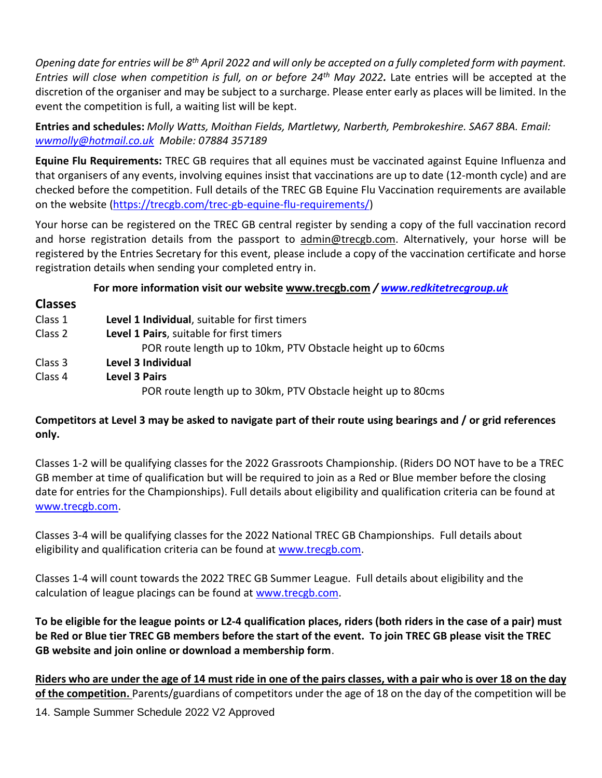*Opening date for entries will be 8 th April 2022 and will only be accepted on a fully completed form with payment. Entries will close when competition is full, on or before 24th May 2022.* Late entries will be accepted at the discretion of the organiser and may be subject to a surcharge. Please enter early as places will be limited. In the event the competition is full, a waiting list will be kept.

**Entries and schedules:** *Molly Watts, Moithan Fields, Martletwy, Narberth, Pembrokeshire. SA67 8BA. Email: [wwmolly@hotmail.co.uk](mailto:wwmolly@hotmail.co.uk) Mobile: 07884 357189*

**Equine Flu Requirements:** TREC GB requires that all equines must be vaccinated against Equine Influenza and that organisers of any events, involving equines insist that vaccinations are up to date (12-month cycle) and are checked before the competition. Full details of the TREC GB Equine Flu Vaccination requirements are available on the website [\(https://trecgb.com/trec-gb-equine-flu-requirements/\)](https://trecgb.com/trec-gb-equine-flu-requirements/)

Your horse can be registered on the TREC GB central register by sending a copy of the full vaccination record and horse registration details from the passport to [admin@trecgb.com.](about:blank) Alternatively, your horse will be registered by the Entries Secretary for this event, please include a copy of the vaccination certificate and horse registration details when sending your completed entry in.

#### **For more information visit our website [www.trecgb.com](about:blank)** */ [www.redkitetrecgroup.uk](http://www.redkitetrecgroup.uk/)*

#### **Classes**

| Class 1 | Level 1 Individual, suitable for first timers                |
|---------|--------------------------------------------------------------|
| Class 2 | Level 1 Pairs, suitable for first timers                     |
|         | POR route length up to 10km, PTV Obstacle height up to 60cms |
| Class 3 | Level 3 Individual                                           |
| Class 4 | <b>Level 3 Pairs</b>                                         |
|         | POR route length up to 30km, PTV Obstacle height up to 80cms |

#### **Competitors at Level 3 may be asked to navigate part of their route using bearings and / or grid references only.**

Classes 1-2 will be qualifying classes for the 2022 Grassroots Championship. (Riders DO NOT have to be a TREC GB member at time of qualification but will be required to join as a Red or Blue member before the closing date for entries for the Championships). Full details about eligibility and qualification criteria can be found at [www.trecgb.com.](http://www.trecgb.com/)

Classes 3-4 will be qualifying classes for the 2022 National TREC GB Championships. Full details about eligibility and qualification criteria can be found at [www.trecgb.com.](http://www.trecgb.com/)

Classes 1-4 will count towards the 2022 TREC GB Summer League. Full details about eligibility and the calculation of league placings can be found at [www.trecgb.com.](http://www.trecgb.com/)

**To be eligible for the league points or L2-4 qualification places, riders (both riders in the case of a pair) must be Red or Blue tier TREC GB members before the start of the event. To join TREC GB please visit the TREC GB website and join online or download a membership form**.

**Riders who are under the age of 14 must ride in one of the pairs classes, with a pair who is over 18 on the day of the competition.** Parents/guardians of competitors under the age of 18 on the day of the competition will be

14. Sample Summer Schedule 2022 V2 Approved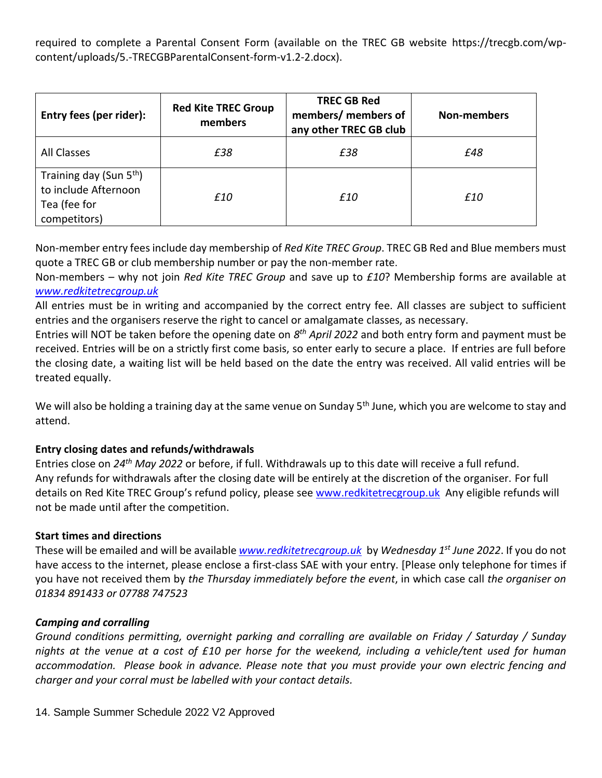required to complete a Parental Consent Form (available on the TREC GB website https://trecgb.com/wpcontent/uploads/5.-TRECGBParentalConsent-form-v1.2-2.docx).

| Entry fees (per rider):                                                                     | <b>Red Kite TREC Group</b><br>members | <b>TREC GB Red</b><br>members/ members of<br>any other TREC GB club | <b>Non-members</b> |
|---------------------------------------------------------------------------------------------|---------------------------------------|---------------------------------------------------------------------|--------------------|
| All Classes                                                                                 | £38                                   | £38                                                                 | £48                |
| Training day (Sun 5 <sup>th</sup> )<br>to include Afternoon<br>Tea (fee for<br>competitors) | £10                                   | £10                                                                 | £10                |

Non-member entry fees include day membership of *Red Kite TREC Group*. TREC GB Red and Blue members must quote a TREC GB or club membership number or pay the non-member rate.

Non-members – why not join *Red Kite TREC Group* and save up to *£10*? Membership forms are available at *[www.redkitetrecgroup.uk](http://www.redkitetrecgroup.uk/)*

All entries must be in writing and accompanied by the correct entry fee. All classes are subject to sufficient entries and the organisers reserve the right to cancel or amalgamate classes, as necessary.

Entries will NOT be taken before the opening date on 8<sup>th</sup> April 2022 and both entry form and payment must be received. Entries will be on a strictly first come basis, so enter early to secure a place. If entries are full before the closing date, a waiting list will be held based on the date the entry was received. All valid entries will be treated equally.

We will also be holding a training day at the same venue on Sunday 5<sup>th</sup> June, which you are welcome to stay and attend.

#### **Entry closing dates and refunds/withdrawals**

Entries close on *24th May 2022* or before, if full. Withdrawals up to this date will receive a full refund. Any refunds for withdrawals after the closing date will be entirely at the discretion of the organiser. For full details on Red Kite TREC Group's refund policy, please see [www.redkitetrecgroup.uk](http://www.redkitetrecgroup.uk/) Any eligible refunds will not be made until after the competition.

#### **Start times and directions**

These will be emailed and will be available *[www.redkitetrecgroup.uk](http://www.redkitetrecgroup.uk/)* by *Wednesday 1st June 2022*. If you do not have access to the internet, please enclose a first-class SAE with your entry. [Please only telephone for times if you have not received them by *the Thursday immediately before the event*, in which case call *the organiser on 01834 891433 or 07788 747523*

#### *Camping and corralling*

*Ground conditions permitting, overnight parking and corralling are available on Friday / Saturday / Sunday nights at the venue at a cost of £10 per horse for the weekend, including a vehicle/tent used for human accommodation. Please book in advance. Please note that you must provide your own electric fencing and charger and your corral must be labelled with your contact details.* 

14. Sample Summer Schedule 2022 V2 Approved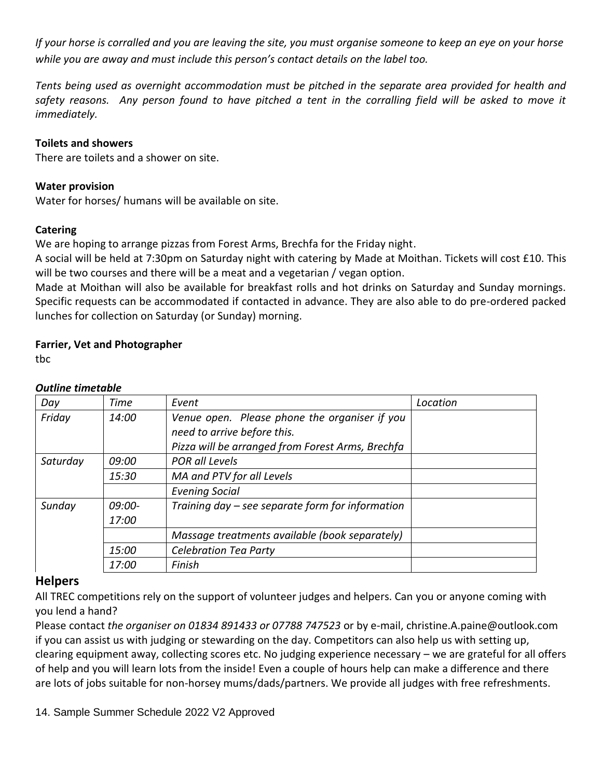*If your horse is corralled and you are leaving the site, you must organise someone to keep an eye on your horse while you are away and must include this person's contact details on the label too.*

*Tents being used as overnight accommodation must be pitched in the separate area provided for health and*  safety reasons. Any person found to have pitched a tent in the corralling field will be asked to move it *immediately.* 

#### **Toilets and showers**

There are toilets and a shower on site.

#### **Water provision**

Water for horses/ humans will be available on site.

#### **Catering**

We are hoping to arrange pizzas from Forest Arms, Brechfa for the Friday night.

A social will be held at 7:30pm on Saturday night with catering by Made at Moithan. Tickets will cost £10. This will be two courses and there will be a meat and a vegetarian / vegan option.

Made at Moithan will also be available for breakfast rolls and hot drinks on Saturday and Sunday mornings. Specific requests can be accommodated if contacted in advance. They are also able to do pre-ordered packed lunches for collection on Saturday (or Sunday) morning.

#### **Farrier, Vet and Photographer**

tbc

| Day      | Time            | Event                                                                                                                            | Location |
|----------|-----------------|----------------------------------------------------------------------------------------------------------------------------------|----------|
| Friday   | 14:00           | Venue open. Please phone the organiser if you<br>need to arrive before this.<br>Pizza will be arranged from Forest Arms, Brechfa |          |
| Saturday | 09:00           | POR all Levels                                                                                                                   |          |
|          | 15:30           | MA and PTV for all Levels                                                                                                        |          |
|          |                 | <b>Evening Social</b>                                                                                                            |          |
| Sunday   | 09:00-<br>17:00 | Training day – see separate form for information                                                                                 |          |
|          |                 | Massage treatments available (book separately)                                                                                   |          |
|          | 15:00           | <b>Celebration Tea Party</b>                                                                                                     |          |
|          | <i>17:00</i>    | Finish                                                                                                                           |          |

#### *Outline timetable*

#### **Helpers**

All TREC competitions rely on the support of volunteer judges and helpers. Can you or anyone coming with you lend a hand?

Please contact *the organiser on 01834 891433 or 07788 747523* or by e-mail, christine.A.paine@outlook.com if you can assist us with judging or stewarding on the day. Competitors can also help us with setting up, clearing equipment away, collecting scores etc. No judging experience necessary – we are grateful for all offers of help and you will learn lots from the inside! Even a couple of hours help can make a difference and there are lots of jobs suitable for non-horsey mums/dads/partners. We provide all judges with free refreshments.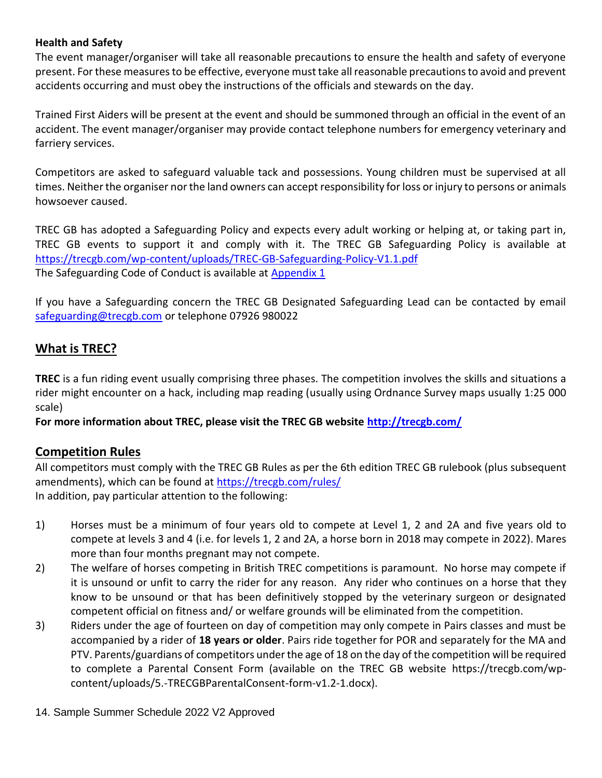#### **Health and Safety**

The event manager/organiser will take all reasonable precautions to ensure the health and safety of everyone present. For these measures to be effective, everyone must take all reasonable precautions to avoid and prevent accidents occurring and must obey the instructions of the officials and stewards on the day.

Trained First Aiders will be present at the event and should be summoned through an official in the event of an accident. The event manager/organiser may provide contact telephone numbers for emergency veterinary and farriery services.

Competitors are asked to safeguard valuable tack and possessions. Young children must be supervised at all times. Neither the organiser nor the land owners can accept responsibility for loss or injury to persons or animals howsoever caused.

TREC GB has adopted a Safeguarding Policy and expects every adult working or helping at, or taking part in, TREC GB events to support it and comply with it. The TREC GB Safeguarding Policy is available at <https://trecgb.com/wp-content/uploads/TREC-GB-Safeguarding-Policy-V1.1.pdf> The Safeguarding Code of Conduct is available at Appendix 1

If you have a Safeguarding concern the TREC GB Designated Safeguarding Lead can be contacted by email [safeguarding@trecgb.com](mailto:safeguarding@trecgb.com) or telephone 07926 980022

#### **What is TREC?**

**TREC** is a fun riding event usually comprising three phases. The competition involves the skills and situations a rider might encounter on a hack, including map reading (usually using Ordnance Survey maps usually 1:25 000 scale)

**For more information about TREC, please visit the TREC GB website [http://trecgb.com/](about:blank)**

#### **Competition Rules**

All competitors must comply with the TREC GB Rules as per the 6th edition TREC GB rulebook (plus subsequent amendments), which can be found at [https://trecgb.com/rules/](about:blank) In addition, pay particular attention to the following:

- 1) Horses must be a minimum of four years old to compete at Level 1, 2 and 2A and five years old to compete at levels 3 and 4 (i.e. for levels 1, 2 and 2A, a horse born in 2018 may compete in 2022). Mares more than four months pregnant may not compete.
- 2) The welfare of horses competing in British TREC competitions is paramount. No horse may compete if it is unsound or unfit to carry the rider for any reason. Any rider who continues on a horse that they know to be unsound or that has been definitively stopped by the veterinary surgeon or designated competent official on fitness and/ or welfare grounds will be eliminated from the competition.
- 3) Riders under the age of fourteen on day of competition may only compete in Pairs classes and must be accompanied by a rider of **18 years or older**. Pairs ride together for POR and separately for the MA and PTV. Parents/guardians of competitors under the age of 18 on the day of the competition will be required to complete a Parental Consent Form (available on the TREC GB website https://trecgb.com/wpcontent/uploads/5.-TRECGBParentalConsent-form-v1.2-1.docx).
- 14. Sample Summer Schedule 2022 V2 Approved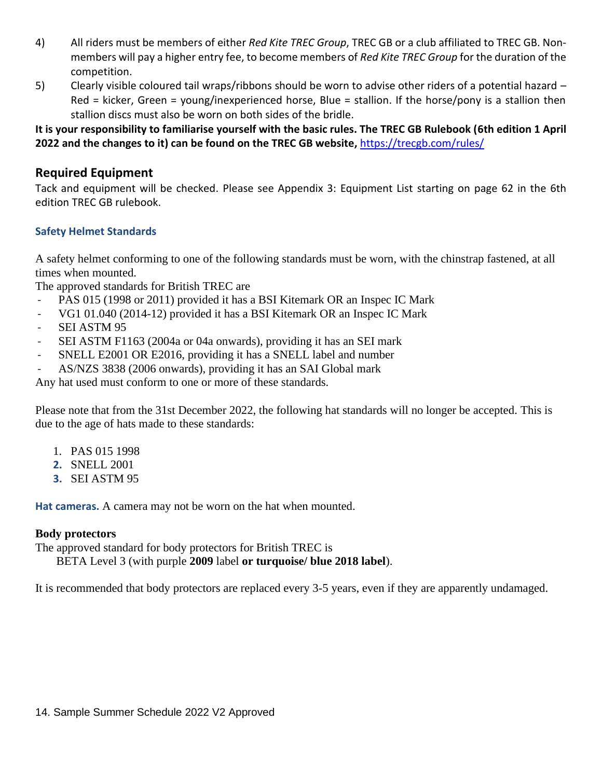- 4) All riders must be members of either *Red Kite TREC Group*, TREC GB or a club affiliated to TREC GB. Nonmembers will pay a higher entry fee, to become members of *Red Kite TREC Group* for the duration of the competition.
- 5) Clearly visible coloured tail wraps/ribbons should be worn to advise other riders of a potential hazard Red = kicker, Green = young/inexperienced horse, Blue = stallion. If the horse/pony is a stallion then stallion discs must also be worn on both sides of the bridle.

**It is your responsibility to familiarise yourself with the basic rules. The TREC GB Rulebook (6th edition 1 April 2022 and the changes to it) can be found on the TREC GB website,** [https://trecgb.com/rules/](about:blank)

#### **Required Equipment**

Tack and equipment will be checked. Please see Appendix 3: Equipment List starting on page 62 in the 6th edition TREC GB rulebook.

#### **Safety Helmet Standards**

A safety helmet conforming to one of the following standards must be worn, with the chinstrap fastened, at all times when mounted.

The approved standards for British TREC are

- PAS 015 (1998 or 2011) provided it has a BSI Kitemark OR an Inspec IC Mark
- VG1 01.040 (2014-12) provided it has a BSI Kitemark OR an Inspec IC Mark
- SEI ASTM 95
- SEI ASTM F1163 (2004a or 04a onwards), providing it has an SEI mark
- SNELL E2001 OR E2016, providing it has a SNELL label and number
- AS/NZS 3838 (2006 onwards), providing it has an SAI Global mark

Any hat used must conform to one or more of these standards.

Please note that from the 31st December 2022, the following hat standards will no longer be accepted. This is due to the age of hats made to these standards:

- 1. PAS 015 1998
- **2.** SNELL 2001
- **3.** SEI ASTM 95

**Hat cameras.** A camera may not be worn on the hat when mounted.

#### **Body protectors**

The approved standard for body protectors for British TREC is

BETA Level 3 (with purple **2009** label **or turquoise/ blue 2018 label**).

It is recommended that body protectors are replaced every 3-5 years, even if they are apparently undamaged.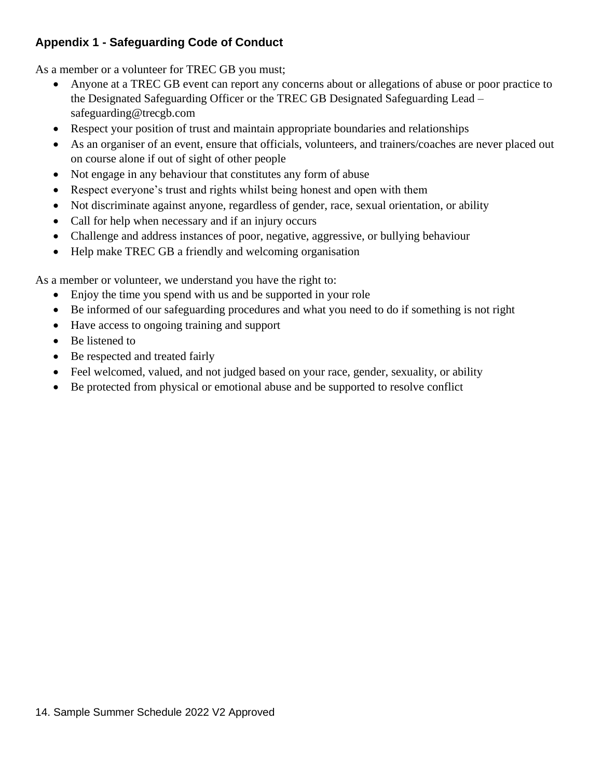#### **Appendix 1 - Safeguarding Code of Conduct**

As a member or a volunteer for TREC GB you must;

- Anyone at a TREC GB event can report any concerns about or allegations of abuse or poor practice to the Designated Safeguarding Officer or the TREC GB Designated Safeguarding Lead – safeguarding@trecgb.com
- Respect your position of trust and maintain appropriate boundaries and relationships
- As an organiser of an event, ensure that officials, volunteers, and trainers/coaches are never placed out on course alone if out of sight of other people
- Not engage in any behaviour that constitutes any form of abuse
- Respect everyone's trust and rights whilst being honest and open with them
- Not discriminate against anyone, regardless of gender, race, sexual orientation, or ability
- Call for help when necessary and if an injury occurs
- Challenge and address instances of poor, negative, aggressive, or bullying behaviour
- Help make TREC GB a friendly and welcoming organisation

As a member or volunteer, we understand you have the right to:

- Enjoy the time you spend with us and be supported in your role
- Be informed of our safeguarding procedures and what you need to do if something is not right
- Have access to ongoing training and support
- Be listened to
- Be respected and treated fairly
- Feel welcomed, valued, and not judged based on your race, gender, sexuality, or ability
- Be protected from physical or emotional abuse and be supported to resolve conflict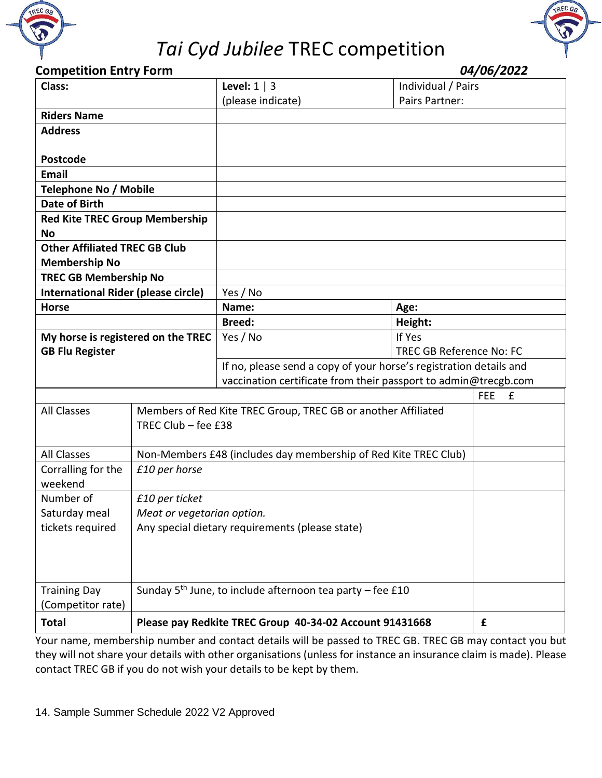



#### **Competition Entry Form** *04/06/2022*

| Class:                                     |                            | Level: $1 \mid 3$                                                     | Individual / Pairs              |                 |
|--------------------------------------------|----------------------------|-----------------------------------------------------------------------|---------------------------------|-----------------|
|                                            |                            | (please indicate)                                                     | Pairs Partner:                  |                 |
| <b>Riders Name</b>                         |                            |                                                                       |                                 |                 |
| <b>Address</b>                             |                            |                                                                       |                                 |                 |
|                                            |                            |                                                                       |                                 |                 |
| <b>Postcode</b>                            |                            |                                                                       |                                 |                 |
| <b>Email</b>                               |                            |                                                                       |                                 |                 |
| <b>Telephone No / Mobile</b>               |                            |                                                                       |                                 |                 |
| <b>Date of Birth</b>                       |                            |                                                                       |                                 |                 |
| <b>Red Kite TREC Group Membership</b>      |                            |                                                                       |                                 |                 |
| <b>No</b>                                  |                            |                                                                       |                                 |                 |
| <b>Other Affiliated TREC GB Club</b>       |                            |                                                                       |                                 |                 |
| <b>Membership No</b>                       |                            |                                                                       |                                 |                 |
| <b>TREC GB Membership No</b>               |                            |                                                                       |                                 |                 |
| <b>International Rider (please circle)</b> |                            | Yes / No                                                              |                                 |                 |
| <b>Horse</b>                               |                            | Name:                                                                 | Age:                            |                 |
|                                            |                            | <b>Breed:</b>                                                         | Height:                         |                 |
| My horse is registered on the TREC         |                            | Yes / No                                                              | If Yes                          |                 |
| <b>GB Flu Register</b>                     |                            |                                                                       | <b>TREC GB Reference No: FC</b> |                 |
|                                            |                            | If no, please send a copy of your horse's registration details and    |                                 |                 |
|                                            |                            | vaccination certificate from their passport to admin@trecgb.com       |                                 |                 |
|                                            |                            |                                                                       |                                 | <b>FEE</b><br>£ |
| <b>All Classes</b>                         |                            | Members of Red Kite TREC Group, TREC GB or another Affiliated         |                                 |                 |
|                                            | TREC Club - fee £38        |                                                                       |                                 |                 |
|                                            |                            |                                                                       |                                 |                 |
| <b>All Classes</b>                         |                            | Non-Members £48 (includes day membership of Red Kite TREC Club)       |                                 |                 |
| Corralling for the                         | £10 per horse              |                                                                       |                                 |                 |
| weekend                                    |                            |                                                                       |                                 |                 |
| Number of<br>£10 per ticket                |                            |                                                                       |                                 |                 |
| Saturday meal                              | Meat or vegetarian option. |                                                                       |                                 |                 |
| tickets required                           |                            | Any special dietary requirements (please state)                       |                                 |                 |
|                                            |                            |                                                                       |                                 |                 |
|                                            |                            |                                                                       |                                 |                 |
|                                            |                            |                                                                       |                                 |                 |
| <b>Training Day</b>                        |                            | Sunday 5 <sup>th</sup> June, to include afternoon tea party - fee £10 |                                 |                 |
| (Competitor rate)                          |                            |                                                                       |                                 |                 |
| <b>Total</b>                               |                            | Please pay Redkite TREC Group 40-34-02 Account 91431668               |                                 | £               |

Your name, membership number and contact details will be passed to TREC GB. TREC GB may contact you but they will not share your details with other organisations (unless for instance an insurance claim is made). Please contact TREC GB if you do not wish your details to be kept by them.